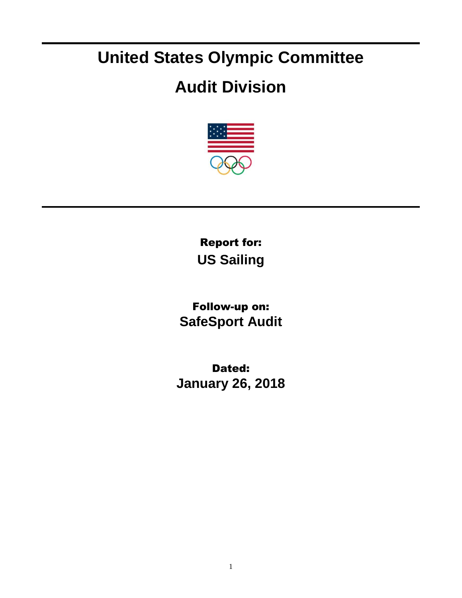## **United States Olympic Committee**

## **Audit Division**



Report for: **US Sailing**

Follow-up on: **SafeSport Audit**

Dated: **January 26, 2018**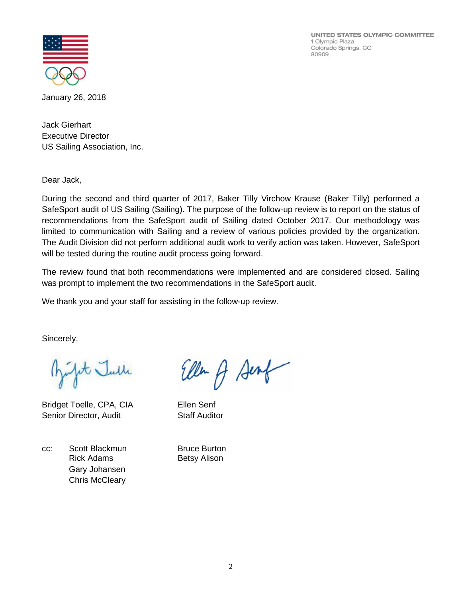UNITED STATES OLYMPIC COMMITTEE 1 Olympic Plaza Colorado Springs, CO 80909



January 26, 2018

Jack Gierhart Executive Director US Sailing Association, Inc.

Dear Jack,

During the second and third quarter of 2017, Baker Tilly Virchow Krause (Baker Tilly) performed a SafeSport audit of US Sailing (Sailing). The purpose of the follow-up review is to report on the status of recommendations from the SafeSport audit of Sailing dated October 2017. Our methodology was limited to communication with Sailing and a review of various policies provided by the organization. The Audit Division did not perform additional audit work to verify action was taken. However, SafeSport will be tested during the routine audit process going forward.

The review found that both recommendations were implemented and are considered closed. Sailing was prompt to implement the two recommendations in the SafeSport audit.

We thank you and your staff for assisting in the follow-up review.

Sincerely,

it Julle

Bridget Toelle, CPA, CIA Ellen Senf Senior Director, Audit Staff Auditor

cc: Scott Blackmun Bruce Burton Rick Adams Betsy Alison Gary Johansen Chris McCleary

Ellen A Sent